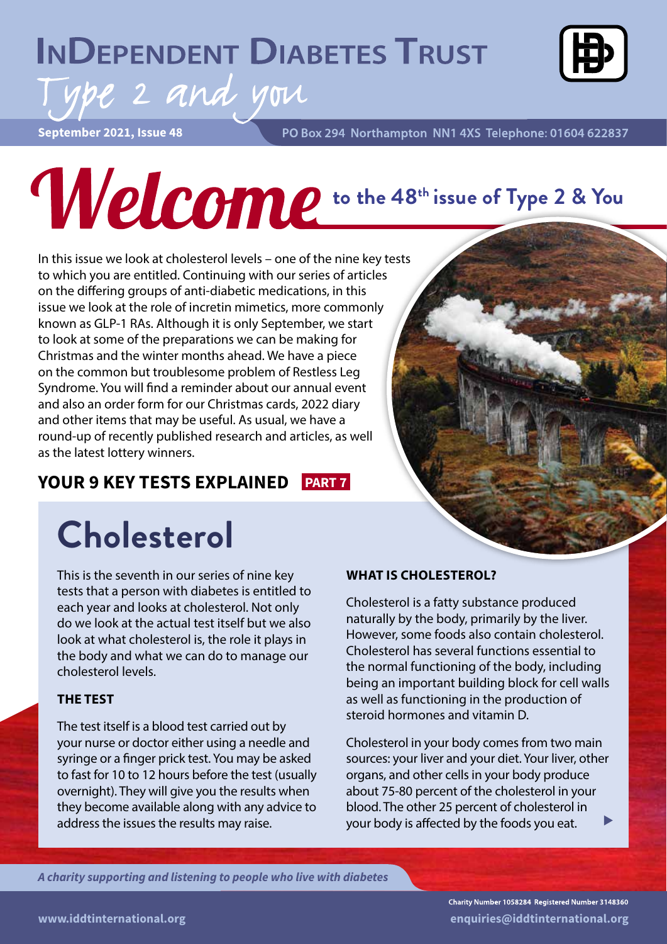## **INDEPENDENT DIABETES TRUST**



**September 2021, Issue 48**

ype 2 and you

PO Box 294 Northampton NN1 4XS Telephone: 01604 622837

## **the 48th issue of Type 2 & You**

In this issue we look at cholesterol levels – one of the nine key tests to which you are entitled. Continuing with our series of articles on the differing groups of anti-diabetic medications, in this issue we look at the role of incretin mimetics, more commonly known as GLP-1 RAs. Although it is only September, we start to look at some of the preparations we can be making for Christmas and the winter months ahead. We have a piece on the common but troublesome problem of Restless Leg Syndrome. You will find a reminder about our annual event and also an order form for our Christmas cards, 2022 diary and other items that may be useful. As usual, we have a round-up of recently published research and articles, as well as the latest lottery winners.

**YOUR 9 KEY TESTS EXPLAINED PART 7**

## **Cholesterol**

This is the seventh in our series of nine key tests that a person with diabetes is entitled to each year and looks at cholesterol. Not only do we look at the actual test itself but we also look at what cholesterol is, the role it plays in the body and what we can do to manage our cholesterol levels.

#### **THE TEST**

The test itself is a blood test carried out by your nurse or doctor either using a needle and syringe or a finger prick test. You may be asked to fast for 10 to 12 hours before the test (usually overnight). They will give you the results when they become available along with any advice to address the issues the results may raise.

#### **WHAT IS CHOLESTEROL?**

Cholesterol is a fatty substance produced naturally by the body, primarily by the liver. However, some foods also contain cholesterol. Cholesterol has several functions essential to the normal functioning of the body, including being an important building block for cell walls as well as functioning in the production of steroid hormones and vitamin D.

Cholesterol in your body comes from two main sources: your liver and your diet. Your liver, other organs, and other cells in your body produce about 75-80 percent of the cholesterol in your blood. The other 25 percent of cholesterol in your body is affected by the foods you eat.

*A charity supporting and listening to people who live with diabetes*

Charity Number 1058284 Registered Number 3148360 **www.iddtinternational.org enquiries@iddtinternational.org**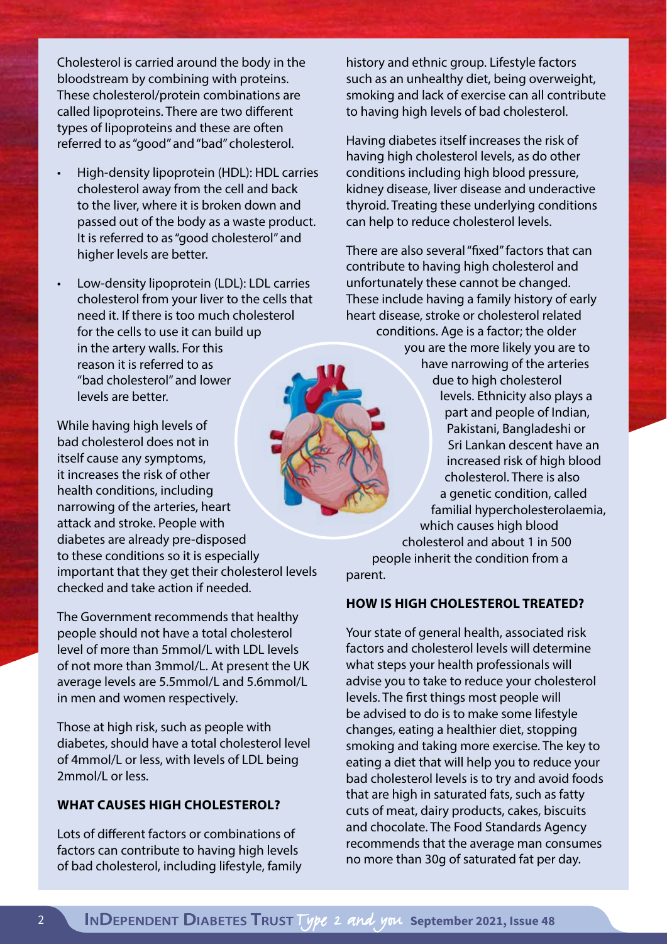Cholesterol is carried around the body in the bloodstream by combining with proteins. These cholesterol/protein combinations are called lipoproteins. There are two different types of lipoproteins and these are often referred to as "good" and "bad" cholesterol.

- High-density lipoprotein (HDL): HDL carries cholesterol away from the cell and back to the liver, where it is broken down and passed out of the body as a waste product. It is referred to as "good cholesterol" and higher levels are better.
- Low-density lipoprotein (LDL): LDL carries cholesterol from your liver to the cells that need it. If there is too much cholesterol for the cells to use it can build up in the artery walls. For this reason it is referred to as "bad cholesterol" and lower levels are better.

While having high levels of bad cholesterol does not in itself cause any symptoms, it increases the risk of other health conditions, including narrowing of the arteries, heart attack and stroke. People with diabetes are already pre-disposed to these conditions so it is especially important that they get their cholesterol levels checked and take action if needed.

The Government recommends that healthy people should not have a total cholesterol level of more than 5mmol/L with LDL levels of not more than 3mmol/L. At present the UK average levels are 5.5mmol/L and 5.6mmol/L in men and women respectively.

Those at high risk, such as people with diabetes, should have a total cholesterol level of 4mmol/L or less, with levels of LDL being 2mmol/L or less.

#### **WHAT CAUSES HIGH CHOLESTEROL?**

Lots of different factors or combinations of factors can contribute to having high levels of bad cholesterol, including lifestyle, family

history and ethnic group. Lifestyle factors such as an unhealthy diet, being overweight, smoking and lack of exercise can all contribute to having high levels of bad cholesterol.

Having diabetes itself increases the risk of having high cholesterol levels, as do other conditions including high blood pressure, kidney disease, liver disease and underactive thyroid. Treating these underlying conditions can help to reduce cholesterol levels.

There are also several "fixed" factors that can contribute to having high cholesterol and unfortunately these cannot be changed. These include having a family history of early heart disease, stroke or cholesterol related conditions. Age is a factor; the older you are the more likely you are to have narrowing of the arteries due to high cholesterol levels. Ethnicity also plays a part and people of Indian, Pakistani, Bangladeshi or Sri Lankan descent have an increased risk of high blood cholesterol. There is also a genetic condition, called familial hypercholesterolaemia, which causes high blood cholesterol and about 1 in 500 people inherit the condition from a

parent.

#### **HOW IS HIGH CHOLESTEROL TREATED?**

Your state of general health, associated risk factors and cholesterol levels will determine what steps your health professionals will advise you to take to reduce your cholesterol levels. The first things most people will be advised to do is to make some lifestyle changes, eating a healthier diet, stopping smoking and taking more exercise. The key to eating a diet that will help you to reduce your bad cholesterol levels is to try and avoid foods that are high in saturated fats, such as fatty cuts of meat, dairy products, cakes, biscuits and chocolate. The Food Standards Agency recommends that the average man consumes no more than 30g of saturated fat per day.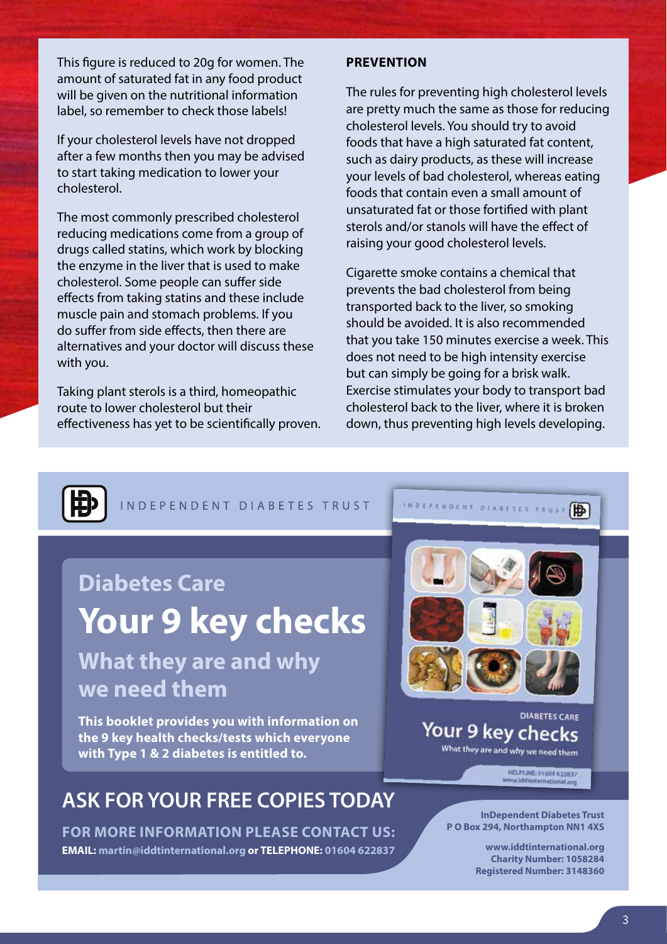This figure is reduced to 20g for women. The amount of saturated fat in any food product will be given on the nutritional information label, so remember to check those labels!

If your cholesterol levels have not dropped after a few months then you may be advised to start taking medication to lower your cholesterol.

The most commonly prescribed cholesterol reducing medications come from a group of drugs called statins, which work by blocking the enzyme in the liver that is used to make cholesterol. Some people can suffer side effects from taking statins and these include muscle pain and stomach problems. If you do suffer from side effects, then there are alternatives and your doctor will discuss these with you.

Taking plant sterols is a third, homeopathic route to lower cholesterol but their effectiveness has yet to be scientifically proven.

#### **PREVENTION**

The rules for preventing high cholesterol levels are pretty much the same as those for reducing cholesterol levels. You should try to avoid foods that have a high saturated fat content, such as dairy products, as these will increase your levels of bad cholesterol, whereas eating foods that contain even a small amount of unsaturated fat or those fortified with plant sterols and/or stanols will have the effect of raising your good cholesterol levels.

Cigarette smoke contains a chemical that prevents the bad cholesterol from being transported back to the liver, so smoking should be avoided. It is also recommended that you take 150 minutes exercise a week. This does not need to be high intensity exercise but can simply be going for a brisk walk. Exercise stimulates your body to transport bad cholesterol back to the liver, where it is broken down, thus preventing high levels developing.



INDEPENDENT DIABETES TRUST

#### **Diabetes Care**

## **Your 9 key checks**

#### **What they are and why we need them**

**This booklet provides you with information on the 9 key health checks/tests which everyone with Type 1 & 2 diabetes is entitled to.**

#### **ASK FOR YOUR FREE COPIES TODAY**

**FOR MORE INFORMATION PLEASE CONTACT US: EMAIL: martin@iddtinternational.org or TELEPHONE: 01604 622837**

**INDEPENDENT DIABETES TRUST** 

#### **DIABETES CARE** Your 9 key checks What they are and why we need them

HELPLINE: 01604 622837

**InDependent Diabetes Trust P O Box 294, Northampton NN1 4XS**

> **www.iddtinternational.org Charity Number: 1058284 Registered Number: 3148360**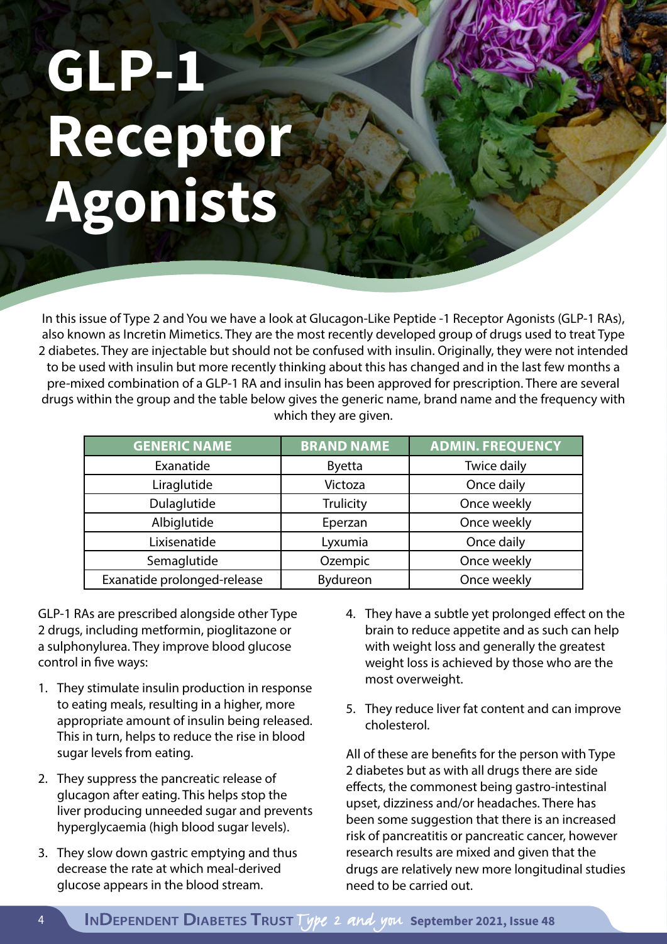## **GLP-1 Receptor Agonists**

In this issue of Type 2 and You we have a look at Glucagon-Like Peptide -1 Receptor Agonists (GLP-1 RAs), also known as Incretin Mimetics. They are the most recently developed group of drugs used to treat Type 2 diabetes. They are injectable but should not be confused with insulin. Originally, they were not intended to be used with insulin but more recently thinking about this has changed and in the last few months a pre-mixed combination of a GLP-1 RA and insulin has been approved for prescription. There are several drugs within the group and the table below gives the generic name, brand name and the frequency with which they are given.

| <b>GENERIC NAME</b>         | <b>BRAND NAME</b> | <b>ADMIN. FREQUENCY</b> |
|-----------------------------|-------------------|-------------------------|
| Exanatide                   | <b>Byetta</b>     | Twice daily             |
| Liraglutide                 | Victoza           | Once daily              |
| Dulaglutide                 | Trulicity         | Once weekly             |
| Albiglutide                 | Eperzan           | Once weekly             |
| Lixisenatide                | Lyxumia           | Once daily              |
| Semaglutide                 | Ozempic           | Once weekly             |
| Exanatide prolonged-release | Bydureon          | Once weekly             |

GLP-1 RAs are prescribed alongside other Type 2 drugs, including metformin, pioglitazone or a sulphonylurea. They improve blood glucose control in five ways:

- 1. They stimulate insulin production in response to eating meals, resulting in a higher, more appropriate amount of insulin being released. This in turn, helps to reduce the rise in blood sugar levels from eating.
- 2. They suppress the pancreatic release of glucagon after eating. This helps stop the liver producing unneeded sugar and prevents hyperglycaemia (high blood sugar levels).
- 3. They slow down gastric emptying and thus decrease the rate at which meal-derived glucose appears in the blood stream.
- 4. They have a subtle yet prolonged effect on the brain to reduce appetite and as such can help with weight loss and generally the greatest weight loss is achieved by those who are the most overweight.
- 5. They reduce liver fat content and can improve cholesterol.

All of these are benefits for the person with Type 2 diabetes but as with all drugs there are side effects, the commonest being gastro-intestinal upset, dizziness and/or headaches. There has been some suggestion that there is an increased risk of pancreatitis or pancreatic cancer, however research results are mixed and given that the drugs are relatively new more longitudinal studies need to be carried out.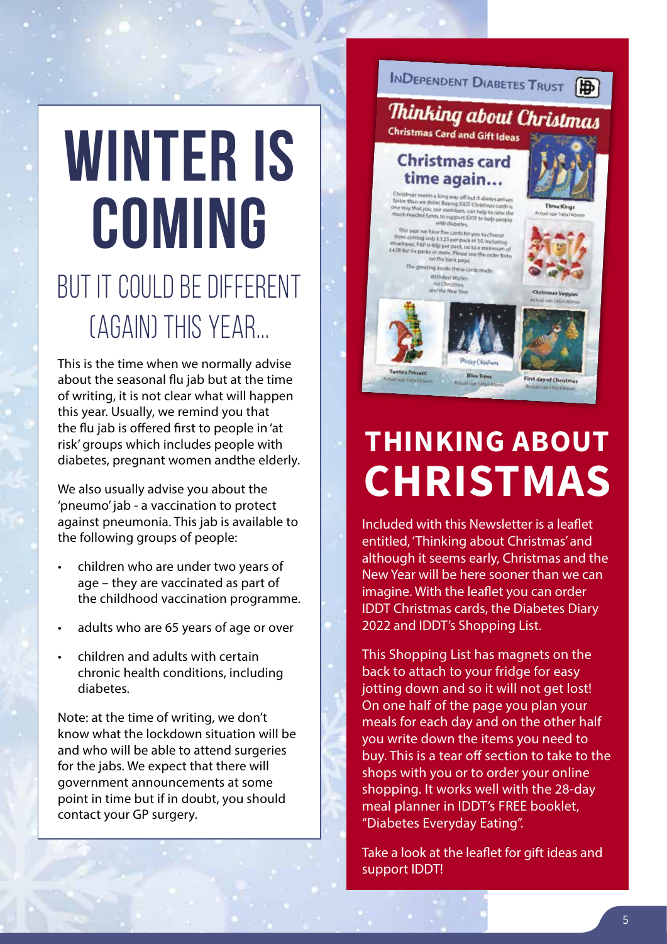## **WINTER IS COMING** BUT IT COULD BE DIFFERENT (AGAIN) THIS YEAR...

This is the time when we normally advise about the seasonal flu jab but at the time of writing, it is not clear what will happen this year. Usually, we remind you that the flu jab is offered first to people in 'at risk' groups which includes people with diabetes, pregnant women andthe elderly.

We also usually advise you about the 'pneumo' jab - a vaccination to protect against pneumonia. This jab is available to the following groups of people:

- children who are under two years of age – they are vaccinated as part of the childhood vaccination programme.
- adults who are 65 years of age or over
- children and adults with certain chronic health conditions, including diabetes.

Note: at the time of writing, we don't know what the lockdown situation will be and who will be able to attend surgeries for the jabs. We expect that there will government announcements at some point in time but if in doubt, you should contact your GP surgery.

INDEPENDENT DIABETES TRUST

#### Thinking about Christmas Christmas Card and Gift Ideas

#### **Christmas card** time again...

than we think Buying IDDT Christmas cards is<br>up that you, our members, can help to raise the<br>needed funds to

n coiting only £3.25 per pack of 10, includ<br>opes. P&P is 80p per pack of 10, includ<br>opes. P&P is 80p per pack, up to a maximu h the back park





**Didawed Chair** 

## **THINKING ABOUT CHRISTMAS**

Included with this Newsletter is a leaflet entitled, 'Thinking about Christmas' and although it seems early, Christmas and the New Year will be here sooner than we can imagine. With the leaflet you can order IDDT Christmas cards, the Diabetes Diary 2022 and IDDT's Shopping List.

This Shopping List has magnets on the back to attach to your fridge for easy jotting down and so it will not get lost! On one half of the page you plan your meals for each day and on the other half you write down the items you need to buy. This is a tear off section to take to the shops with you or to order your online shopping. It works well with the 28-day meal planner in IDDT's FREE booklet, "Diabetes Everyday Eating".

Take a look at the leaflet for gift ideas and support IDDT!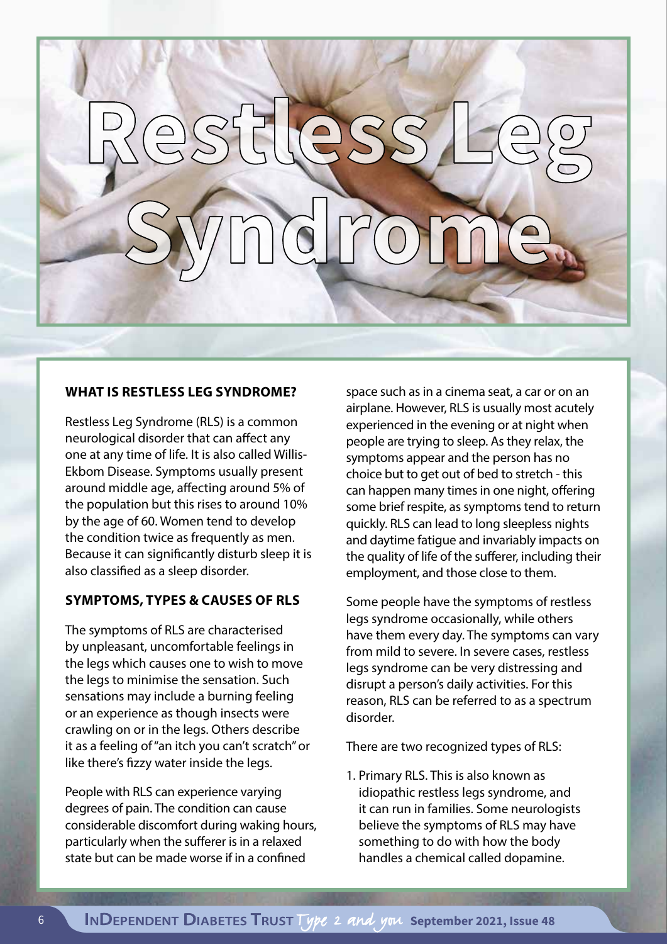# **Restless Leg Syndrome**

#### **WHAT IS RESTLESS LEG SYNDROME?**

Restless Leg Syndrome (RLS) is a common neurological disorder that can affect any one at any time of life. It is also called Willis-Ekbom Disease. Symptoms usually present around middle age, affecting around 5% of the population but this rises to around 10% by the age of 60. Women tend to develop the condition twice as frequently as men. Because it can significantly disturb sleep it is also classified as a sleep disorder.

#### **SYMPTOMS, TYPES & CAUSES OF RLS**

The symptoms of RLS are characterised by unpleasant, uncomfortable feelings in the legs which causes one to wish to move the legs to minimise the sensation. Such sensations may include a burning feeling or an experience as though insects were crawling on or in the legs. Others describe it as a feeling of "an itch you can't scratch" or like there's fizzy water inside the legs.

People with RLS can experience varying degrees of pain. The condition can cause considerable discomfort during waking hours, particularly when the sufferer is in a relaxed state but can be made worse if in a confined

space such as in a cinema seat, a car or on an airplane. However, RLS is usually most acutely experienced in the evening or at night when people are trying to sleep. As they relax, the symptoms appear and the person has no choice but to get out of bed to stretch - this can happen many times in one night, offering some brief respite, as symptoms tend to return quickly. RLS can lead to long sleepless nights and daytime fatigue and invariably impacts on the quality of life of the sufferer, including their employment, and those close to them.

Some people have the symptoms of restless legs syndrome occasionally, while others have them every day. The symptoms can vary from mild to severe. In severe cases, restless legs syndrome can be very distressing and disrupt a person's daily activities. For this reason, RLS can be referred to as a spectrum disorder.

There are two recognized types of RLS:

1. Primary RLS. This is also known as idiopathic restless legs syndrome, and it can run in families. Some neurologists believe the symptoms of RLS may have something to do with how the body handles a chemical called dopamine.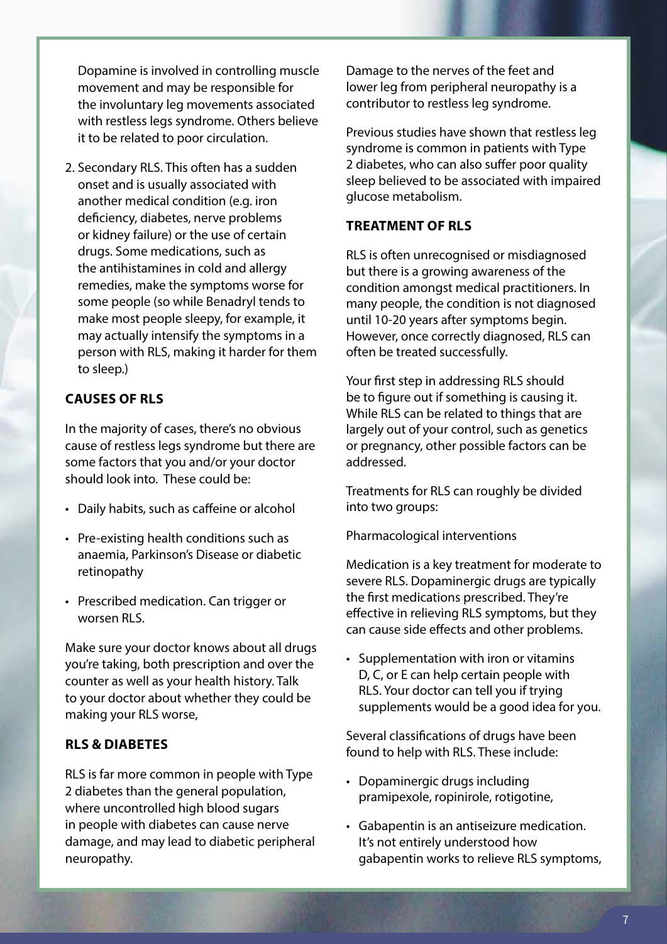Dopamine is involved in controlling muscle movement and may be responsible for the involuntary leg movements associated with restless legs syndrome. Others believe it to be related to poor circulation.

2. Secondary RLS. This often has a sudden onset and is usually associated with another medical condition (e.g. iron deficiency, diabetes, nerve problems or kidney failure) or the use of certain drugs. Some medications, such as the antihistamines in cold and allergy remedies, make the symptoms worse for some people (so while Benadryl tends to make most people sleepy, for example, it may actually intensify the symptoms in a person with RLS, making it harder for them to sleep.)

#### **CAUSES OF RLS**

In the majority of cases, there's no obvious cause of restless legs syndrome but there are some factors that you and/or your doctor should look into. These could be:

- Daily habits, such as caffeine or alcohol
- Pre-existing health conditions such as anaemia, Parkinson's Disease or diabetic retinopathy
- Prescribed medication. Can trigger or worsen RLS.

Make sure your doctor knows about all drugs you're taking, both prescription and over the counter as well as your health history. Talk to your doctor about whether they could be making your RLS worse,

#### **RLS & DIABETES**

RLS is far more common in people with Type 2 diabetes than the general population, where uncontrolled high blood sugars in people with diabetes can cause nerve damage, and may lead to diabetic peripheral neuropathy.

Damage to the nerves of the feet and lower leg from peripheral neuropathy is a contributor to restless leg syndrome.

Previous studies have shown that restless leg syndrome is common in patients with Type 2 diabetes, who can also suffer poor quality sleep believed to be associated with impaired glucose metabolism.

#### **TREATMENT OF RLS**

RLS is often unrecognised or misdiagnosed but there is a growing awareness of the condition amongst medical practitioners. In many people, the condition is not diagnosed until 10-20 years after symptoms begin. However, once correctly diagnosed, RLS can often be treated successfully.

Your first step in addressing RLS should be to figure out if something is causing it. While RLS can be related to things that are largely out of your control, such as genetics or pregnancy, other possible factors can be addressed.

Treatments for RLS can roughly be divided into two groups:

Pharmacological interventions

Medication is a key treatment for moderate to severe RLS. Dopaminergic drugs are typically the first medications prescribed. They're effective in relieving RLS symptoms, but they can cause side effects and other problems.

• Supplementation with iron or vitamins D, C, or E can help certain people with RLS. Your doctor can tell you if trying supplements would be a good idea for you.

Several classifications of drugs have been found to help with RLS. These include:

- Dopaminergic drugs including pramipexole, ropinirole, rotigotine,
- Gabapentin is an antiseizure medication. It's not entirely understood how gabapentin works to relieve RLS symptoms,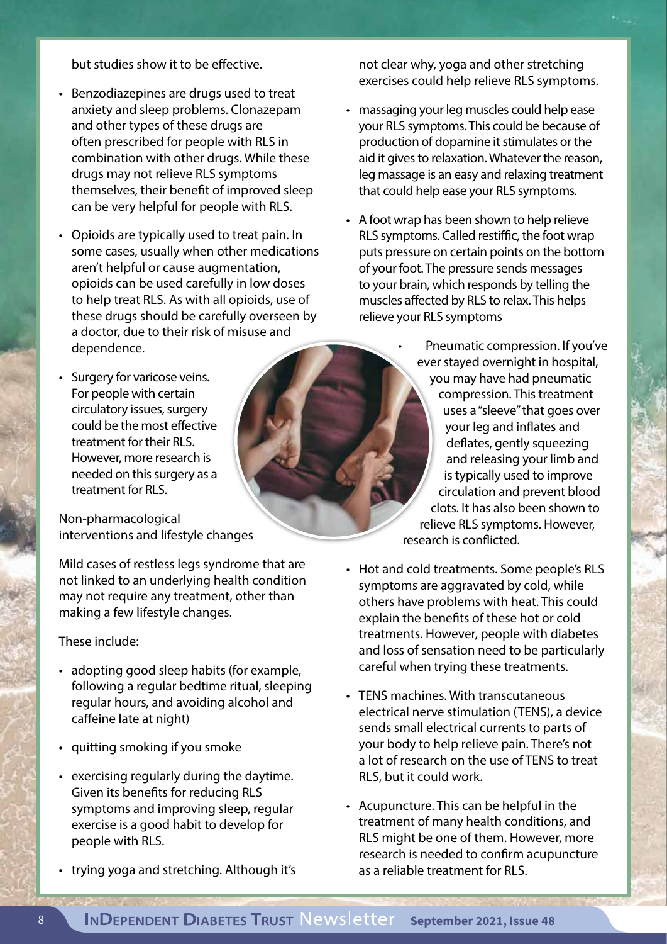but studies show it to be effective.

- Benzodiazepines are drugs used to treat anxiety and sleep problems. Clonazepam and other types of these drugs are often prescribed for people with RLS in combination with other drugs. While these drugs may not relieve RLS symptoms themselves, their benefit of improved sleep can be very helpful for people with RLS.
- Opioids are typically used to treat pain. In some cases, usually when other medications aren't helpful or cause augmentation, opioids can be used carefully in low doses to help treat RLS. As with all opioids, use of these drugs should be carefully overseen by a doctor, due to their risk of misuse and dependence.
- Surgery for varicose veins. For people with certain circulatory issues, surgery could be the most effective treatment for their RLS. However, more research is needed on this surgery as a treatment for RLS.

Non-pharmacological interventions and lifestyle changes

Mild cases of restless legs syndrome that are not linked to an underlying health condition may not require any treatment, other than making a few lifestyle changes.

#### These include:

- adopting good sleep habits (for example, following a regular bedtime ritual, sleeping regular hours, and avoiding alcohol and caffeine late at night)
- quitting smoking if you smoke

**PARTY AND TWO** 

- exercising regularly during the daytime. Given its benefits for reducing RLS symptoms and improving sleep, regular exercise is a good habit to develop for people with RLS.
- trying yoga and stretching. Although it's

not clear why, yoga and other stretching exercises could help relieve RLS symptoms.

- massaging your leg muscles could help ease your RLS symptoms. This could be because of production of dopamine it stimulates or the aid it gives to relaxation. Whatever the reason, leg massage is an easy and relaxing treatment that could help ease your RLS symptoms.
- A foot wrap has been shown to help relieve RLS symptoms. Called restiffic, the foot wrap puts pressure on certain points on the bottom of your foot. The pressure sends messages to your brain, which responds by telling the muscles affected by RLS to relax. This helps relieve your RLS symptoms

• Pneumatic compression. If you've ever stayed overnight in hospital, you may have had pneumatic compression. This treatment uses a "sleeve" that goes over your leg and inflates and deflates, gently squeezing and releasing your limb and is typically used to improve circulation and prevent blood clots. It has also been shown to relieve RLS symptoms. However, research is conflicted.

- Hot and cold treatments. Some people's RLS symptoms are aggravated by cold, while others have problems with heat. This could explain the benefits of these hot or cold treatments. However, people with diabetes and loss of sensation need to be particularly careful when trying these treatments.
- TENS machines. With transcutaneous electrical nerve stimulation (TENS), a device sends small electrical currents to parts of your body to help relieve pain. There's not a lot of research on the use of TENS to treat RLS, but it could work.
- Acupuncture. This can be helpful in the treatment of many health conditions, and RLS might be one of them. However, more research is needed to confirm acupuncture as a reliable treatment for RLS.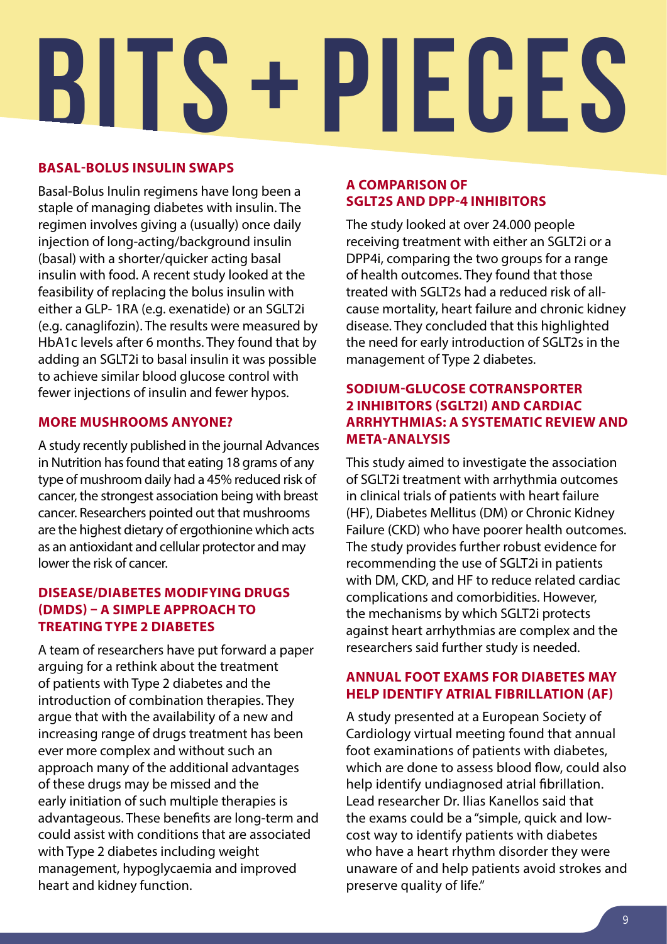# **BITS + PIECES**

#### **BASAL-BOLUS INSULIN SWAPS**

Basal-Bolus Inulin regimens have long been a staple of managing diabetes with insulin. The regimen involves giving a (usually) once daily injection of long-acting/background insulin (basal) with a shorter/quicker acting basal insulin with food. A recent study looked at the feasibility of replacing the bolus insulin with either a GLP- 1RA (e.g. exenatide) or an SGLT2i (e.g. canaglifozin). The results were measured by HbA1c levels after 6 months. They found that by adding an SGLT2i to basal insulin it was possible to achieve similar blood glucose control with fewer injections of insulin and fewer hypos.

#### **MORE MUSHROOMS ANYONE?**

A study recently published in the journal Advances in Nutrition has found that eating 18 grams of any type of mushroom daily had a 45% reduced risk of cancer, the strongest association being with breast cancer. Researchers pointed out that mushrooms are the highest dietary of ergothionine which acts as an antioxidant and cellular protector and may lower the risk of cancer.

#### **DISEASE/DIABETES MODIFYING DRUGS (DMDS) – A SIMPLE APPROACH TO TREATING TYPE 2 DIABETES**

A team of researchers have put forward a paper arguing for a rethink about the treatment of patients with Type 2 diabetes and the introduction of combination therapies. They argue that with the availability of a new and increasing range of drugs treatment has been ever more complex and without such an approach many of the additional advantages of these drugs may be missed and the early initiation of such multiple therapies is advantageous. These benefits are long-term and could assist with conditions that are associated with Type 2 diabetes including weight management, hypoglycaemia and improved heart and kidney function.

#### **A COMPARISON OF SGLT2S AND DPP-4 INHIBITORS**

The study looked at over 24.000 people receiving treatment with either an SGLT2i or a DPP4i, comparing the two groups for a range of health outcomes. They found that those treated with SGLT2s had a reduced risk of allcause mortality, heart failure and chronic kidney disease. They concluded that this highlighted the need for early introduction of SGLT2s in the management of Type 2 diabetes.

#### **SODIUM-GLUCOSE COTRANSPORTER 2 INHIBITORS (SGLT2I) AND CARDIAC ARRHYTHMIAS: A SYSTEMATIC REVIEW AND META-ANALYSIS**

This study aimed to investigate the association of SGLT2i treatment with arrhythmia outcomes in clinical trials of patients with heart failure (HF), Diabetes Mellitus (DM) or Chronic Kidney Failure (CKD) who have poorer health outcomes. The study provides further robust evidence for recommending the use of SGLT2i in patients with DM, CKD, and HF to reduce related cardiac complications and comorbidities. However, the mechanisms by which SGLT2i protects against heart arrhythmias are complex and the researchers said further study is needed.

#### **ANNUAL FOOT EXAMS FOR DIABETES MAY HELP IDENTIFY ATRIAL FIBRILLATION (AF)**

A study presented at a European Society of Cardiology virtual meeting found that annual foot examinations of patients with diabetes, which are done to assess blood flow, could also help identify undiagnosed atrial fibrillation. Lead researcher Dr. Ilias Kanellos said that the exams could be a "simple, quick and lowcost way to identify patients with diabetes who have a heart rhythm disorder they were unaware of and help patients avoid strokes and preserve quality of life."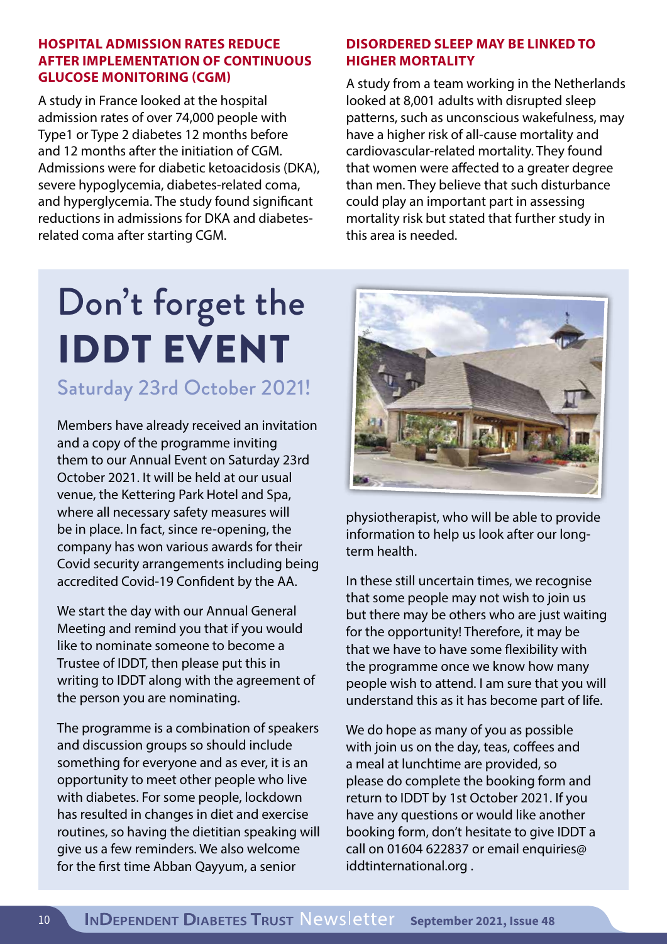#### **HOSPITAL ADMISSION RATES REDUCE AFTER IMPLEMENTATION OF CONTINUOUS GLUCOSE MONITORING (CGM)**

A study in France looked at the hospital admission rates of over 74,000 people with Type1 or Type 2 diabetes 12 months before and 12 months after the initiation of CGM. Admissions were for diabetic ketoacidosis (DKA), severe hypoglycemia, diabetes-related coma, and hyperglycemia. The study found significant reductions in admissions for DKA and diabetesrelated coma after starting CGM.

#### **DISORDERED SLEEP MAY BE LINKED TO HIGHER MORTALITY**

A study from a team working in the Netherlands looked at 8,001 adults with disrupted sleep patterns, such as unconscious wakefulness, may have a higher risk of all-cause mortality and cardiovascular-related mortality. They found that women were affected to a greater degree than men. They believe that such disturbance could play an important part in assessing mortality risk but stated that further study in this area is needed.

## Don't forget the IDDT EVENT

Saturday 23rd October 2021!

Members have already received an invitation and a copy of the programme inviting them to our Annual Event on Saturday 23rd October 2021. It will be held at our usual venue, the Kettering Park Hotel and Spa, where all necessary safety measures will be in place. In fact, since re-opening, the company has won various awards for their Covid security arrangements including being accredited Covid-19 Confident by the AA.

We start the day with our Annual General Meeting and remind you that if you would like to nominate someone to become a Trustee of IDDT, then please put this in writing to IDDT along with the agreement of the person you are nominating.

The programme is a combination of speakers and discussion groups so should include something for everyone and as ever, it is an opportunity to meet other people who live with diabetes. For some people, lockdown has resulted in changes in diet and exercise routines, so having the dietitian speaking will give us a few reminders. We also welcome for the first time Abban Qayyum, a senior



physiotherapist, who will be able to provide information to help us look after our longterm health.

In these still uncertain times, we recognise that some people may not wish to join us but there may be others who are just waiting for the opportunity! Therefore, it may be that we have to have some flexibility with the programme once we know how many people wish to attend. I am sure that you will understand this as it has become part of life.

We do hope as many of you as possible with join us on the day, teas, coffees and a meal at lunchtime are provided, so please do complete the booking form and return to IDDT by 1st October 2021. If you have any questions or would like another booking form, don't hesitate to give IDDT a call on 01604 622837 or email enquiries@ iddtinternational.org .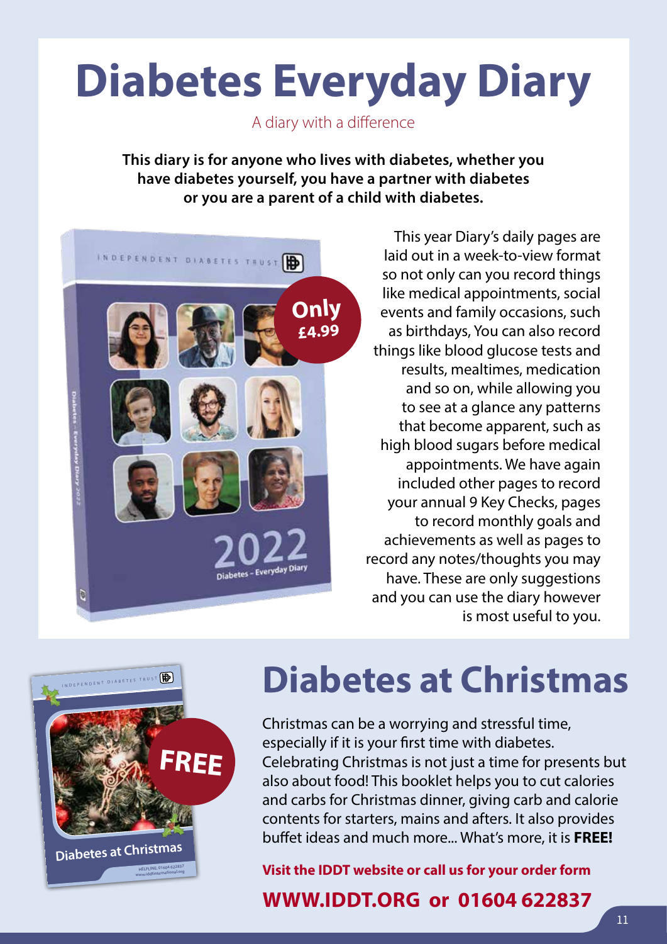## **Diabetes Everyday Diary**

A diary with a difference

**This diary is for anyone who lives with diabetes, whether you have diabetes yourself, you have a partner with diabetes or you are a parent of a child with diabetes.**



This year Diary's daily pages are laid out in a week-to-view format so not only can you record things like medical appointments, social events and family occasions, such as birthdays, You can also record things like blood glucose tests and results, mealtimes, medication and so on, while allowing you to see at a glance any patterns that become apparent, such as high blood sugars before medical appointments. We have again included other pages to record your annual 9 Key Checks, pages to record monthly goals and achievements as well as pages to record any notes/thoughts you may have. These are only suggestions and you can use the diary however is most useful to you.



## **Diabetes at Christmas**

Christmas can be a worrying and stressful time, especially if it is your first time with diabetes. Celebrating Christmas is not just a time for presents but also about food! This booklet helps you to cut calories and carbs for Christmas dinner, giving carb and calorie contents for starters, mains and afters. It also provides buffet ideas and much more... What's more, it is **FREE!**

**Visit the IDDT website or call us for your order form**

#### **WWW.IDDT.ORG or 01604 622837**